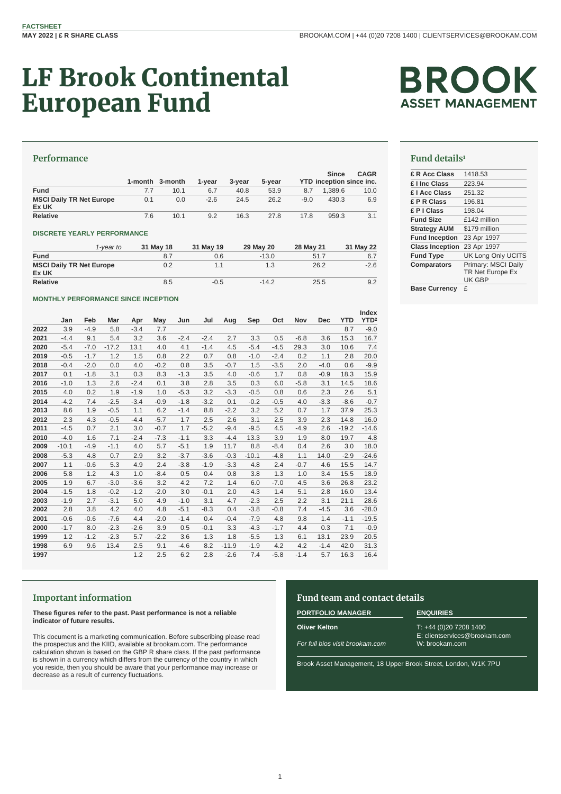# LF Brook Continental European Fund



# **Performance**

|                                          |     | 1-month 3-month | 1-vear | 3-year | 5-year |        | <b>Since</b><br>YTD inception since inc. | <b>CAGR</b> |
|------------------------------------------|-----|-----------------|--------|--------|--------|--------|------------------------------------------|-------------|
| <b>Fund</b>                              | 7.7 | 10.1            | 6.7    | 40.8   | 53.9   | 8.7    | 1.389.6                                  | 10.0        |
| <b>MSCI Daily TR Net Europe</b><br>Ex UK | 0.1 | 0.0             | $-2.6$ | 24.5   | 26.2   | $-9.0$ | 430.3                                    | 6.9         |
| <b>Relative</b>                          | 7.6 | 10.1            | 9.2    | 16.3   | 27.8   | 17.8   | 959.3                                    | 3.1         |

### **DISCRETE YEARLY PERFORMANCE**

|                                 | 1-vear to | 31 May 18 | 31 May 19 | 29 May 20 | 28 May 21 | 31 May 22 |
|---------------------------------|-----------|-----------|-----------|-----------|-----------|-----------|
| <b>Fund</b>                     |           | 8.7       | 0.6       | $-13.0$   | 51.7      | 6.7       |
| <b>MSCI Daily TR Net Europe</b> |           | 0.2       | 1.1       | 1.3       | 26.2      | $-2.6$    |
| Ex UK                           |           |           |           |           |           |           |
| Relative                        |           | 8.5       | $-0.5$    | $-14.2$   | 25.5      | 9.2       |

### **MONTHLY PERFORMANCE SINCE INCEPTION**

|      |         |        |         |        |        |        |        |         |         |        |        |            |            | Index            |
|------|---------|--------|---------|--------|--------|--------|--------|---------|---------|--------|--------|------------|------------|------------------|
|      | Jan     | Feb    | Mar     | Apr    | May    | Jun    | Jul    | Aug     | Sep     | Oct    | Nov    | <b>Dec</b> | <b>YTD</b> | YTD <sup>2</sup> |
| 2022 | 3.9     | $-4.9$ | 5.8     | $-3.4$ | 7.7    |        |        |         |         |        |        |            | 8.7        | $-9.0$           |
| 2021 | $-4.4$  | 9.1    | 5.4     | 3.2    | 3.6    | $-2.4$ | $-2.4$ | 2.7     | 3.3     | 0.5    | $-6.8$ | 3.6        | 15.3       | 16.7             |
| 2020 | $-5.4$  | $-7.0$ | $-17.2$ | 13.1   | 4.0    | 4.1    | $-1.4$ | 4.5     | $-5.4$  | $-4.5$ | 29.3   | 3.0        | 10.6       | 7.4              |
| 2019 | $-0.5$  | $-1.7$ | 1.2     | 1.5    | 0.8    | 2.2    | 0.7    | 0.8     | $-1.0$  | $-2.4$ | 0.2    | 1.1        | 2.8        | 20.0             |
| 2018 | $-0.4$  | $-2.0$ | 0.0     | 4.0    | $-0.2$ | 0.8    | 3.5    | $-0.7$  | 1.5     | $-3.5$ | 2.0    | $-4.0$     | 0.6        | $-9.9$           |
| 2017 | 0.1     | $-1.8$ | 3.1     | 0.3    | 8.3    | $-1.3$ | 3.5    | 4.0     | $-0.6$  | 1.7    | 0.8    | $-0.9$     | 18.3       | 15.9             |
| 2016 | $-1.0$  | 1.3    | 2.6     | $-2.4$ | 0.1    | 3.8    | 2.8    | 3.5     | 0.3     | 6.0    | $-5.8$ | 3.1        | 14.5       | 18.6             |
| 2015 | 4.0     | 0.2    | 1.9     | $-1.9$ | 1.0    | $-5.3$ | 3.2    | $-3.3$  | $-0.5$  | 0.8    | 0.6    | 2.3        | 2.6        | 5.1              |
| 2014 | $-4.2$  | 7.4    | $-2.5$  | $-3.4$ | $-0.9$ | $-1.8$ | $-3.2$ | 0.1     | $-0.2$  | $-0.5$ | 4.0    | $-3.3$     | $-8.6$     | $-0.7$           |
| 2013 | 8.6     | 1.9    | $-0.5$  | 1.1    | 6.2    | $-1.4$ | 8.8    | $-2.2$  | 3.2     | 5.2    | 0.7    | 1.7        | 37.9       | 25.3             |
| 2012 | 2.3     | 4.3    | $-0.5$  | $-4.4$ | $-5.7$ | 1.7    | 2.5    | 2.6     | 3.1     | 2.5    | 3.9    | 2.3        | 14.8       | 16.0             |
| 2011 | $-4.5$  | 0.7    | 2.1     | 3.0    | $-0.7$ | 1.7    | $-5.2$ | $-9.4$  | $-9.5$  | 4.5    | $-4.9$ | 2.6        | $-19.2$    | $-14.6$          |
| 2010 | $-4.0$  | 1.6    | 7.1     | $-2.4$ | $-7.3$ | $-1.1$ | 3.3    | $-4.4$  | 13.3    | 3.9    | 1.9    | 8.0        | 19.7       | 4.8              |
| 2009 | $-10.1$ | $-4.9$ | $-1.1$  | 4.0    | 5.7    | $-5.1$ | 1.9    | 11.7    | 8.8     | $-8.4$ | 0.4    | 2.6        | 3.0        | 18.0             |
| 2008 | $-5.3$  | 4.8    | 0.7     | 2.9    | 3.2    | $-3.7$ | $-3.6$ | $-0.3$  | $-10.1$ | $-4.8$ | 1.1    | 14.0       | $-2.9$     | $-24.6$          |
| 2007 | 1.1     | $-0.6$ | 5.3     | 4.9    | 2.4    | $-3.8$ | $-1.9$ | $-3.3$  | 4.8     | 2.4    | $-0.7$ | 4.6        | 15.5       | 14.7             |
| 2006 | 5.8     | 1.2    | 4.3     | 1.0    | $-8.4$ | 0.5    | 0.4    | 0.8     | 3.8     | 1.3    | 1.0    | 3.4        | 15.5       | 18.9             |
| 2005 | 1.9     | 6.7    | $-3.0$  | $-3.6$ | 3.2    | 4.2    | 7.2    | 1.4     | 6.0     | $-7.0$ | 4.5    | 3.6        | 26.8       | 23.2             |
| 2004 | $-1.5$  | 1.8    | $-0.2$  | $-1.2$ | $-2.0$ | 3.0    | $-0.1$ | 2.0     | 4.3     | 1.4    | 5.1    | 2.8        | 16.0       | 13.4             |
| 2003 | $-1.9$  | 2.7    | $-3.1$  | 5.0    | 4.9    | $-1.0$ | 3.1    | 4.7     | $-2.3$  | 2.5    | 2.2    | 3.1        | 21.1       | 28.6             |
| 2002 | 2.8     | 3.8    | 4.2     | 4.0    | 4.8    | $-5.1$ | $-8.3$ | 0.4     | $-3.8$  | $-0.8$ | 7.4    | $-4.5$     | 3.6        | $-28.0$          |
| 2001 | $-0.6$  | $-0.6$ | $-7.6$  | 4.4    | $-2.0$ | $-1.4$ | 0.4    | $-0.4$  | $-7.9$  | 4.8    | 9.8    | 1.4        | $-1.1$     | $-19.5$          |
| 2000 | $-1.7$  | 8.0    | $-2.3$  | $-2.6$ | 3.9    | 0.5    | $-0.1$ | 3.3     | $-4.3$  | $-1.7$ | 4.4    | 0.3        | 7.1        | $-0.9$           |
| 1999 | 1.2     | $-1.2$ | $-2.3$  | 5.7    | $-2.2$ | 3.6    | 1.3    | 1.8     | $-5.5$  | 1.3    | 6.1    | 13.1       | 23.9       | 20.5             |
| 1998 | 6.9     | 9.6    | 13.4    | 2.5    | 9.1    | $-4.6$ | 8.2    | $-11.9$ | $-1.9$  | 4.2    | 4.2    | $-1.4$     | 42.0       | 31.3             |
| 1997 |         |        |         | 1.2    | 2.5    | 6.2    | 2.8    | $-2.6$  | 7.4     | $-5.8$ | $-1.4$ | 5.7        | 16.3       | 16.4             |
|      |         |        |         |        |        |        |        |         |         |        |        |            |            |                  |

# **Fund details<sup>1</sup>**

| £ R Acc Class          | 1418.53                   |
|------------------------|---------------------------|
| £ I Inc Class          | 223.94                    |
| £   Acc Class          | 251.32                    |
| £ P R Class            | 196.81                    |
| £ P I Class            | 198.04                    |
| <b>Fund Size</b>       | £142 million              |
| <b>Strategy AUM</b>    | \$179 million             |
| <b>Fund Inception</b>  | 23 Apr 1997               |
| <b>Class Inception</b> | 23 Apr 1997               |
| <b>Fund Type</b>       | <b>UK Long Only UCITS</b> |
| <b>Comparators</b>     | Primary: MSCI Daily       |
|                        | TR Net Europe Ex          |
|                        | UK GBP                    |
| $\sim$ $\sim$ $\sim$   | ⌒                         |

### **Base Currency** £

# **Important information**

**These figures refer to the past. Past performance is not a reliable indicator of future results.**

This document is a marketing communication. Before subscribing please read the prospectus and the KIID, available at brookam.com. The performance calculation shown is based on the GBP R share class. If the past performance is shown in a currency which differs from the currency of the country in which you reside, then you should be aware that your performance may increase or decrease as a result of currency fluctuations.

# **Fund team and contact details**

# **PORTFOLIO MANAGER ENQUIRIES**

**Oliver Kelton**

*For full bios visit brookam.com*

T: +44 (0)20 7208 1400 E: clientservices@brookam.com W: brookam.com

Brook Asset Management, 18 Upper Brook Street, London, W1K 7PU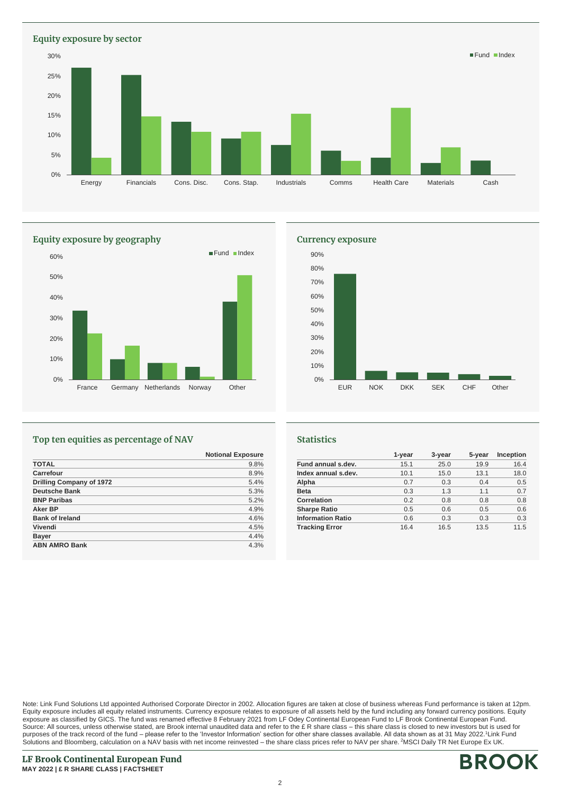**Equity exposure by sector** 0% 5% 10% 15% 20% 25% 30% Energy Financials Cons. Disc. Cons. Stap. Industrials Comms Health Care Materials Cash Fund Index



# **Top ten equities as percentage of NAV**

|                          | <b>Notional Exposure</b> |
|--------------------------|--------------------------|
| <b>TOTAL</b>             | 9.8%                     |
| Carrefour                | 8.9%                     |
| Drilling Company of 1972 | 5.4%                     |
| <b>Deutsche Bank</b>     | 5.3%                     |
| <b>BNP Paribas</b>       | 5.2%                     |
| Aker BP                  | 4.9%                     |
| <b>Bank of Ireland</b>   | 4.6%                     |
| Vivendi                  | 4.5%                     |
| <b>Bayer</b>             | 4.4%                     |
| <b>ABN AMRO Bank</b>     | 4.3%                     |



### **Statistics**

|                          | 1-year | 3-year | 5-year | Inception |
|--------------------------|--------|--------|--------|-----------|
| Fund annual s.dev.       | 15.1   | 25.0   | 19.9   | 16.4      |
| Index annual s.dev.      | 10.1   | 15.0   | 13.1   | 18.0      |
| Alpha                    | 0.7    | 0.3    | 0.4    | 0.5       |
| <b>Beta</b>              | 0.3    | 1.3    | 1.1    | 0.7       |
| <b>Correlation</b>       | 0.2    | 0.8    | 0.8    | 0.8       |
| <b>Sharpe Ratio</b>      | 0.5    | 0.6    | 0.5    | 0.6       |
| <b>Information Ratio</b> | 0.6    | 0.3    | 0.3    | 0.3       |
| <b>Tracking Error</b>    | 16.4   | 16.5   | 13.5   | 11.5      |

Note: Link Fund Solutions Ltd appointed Authorised Corporate Director in 2002. Allocation figures are taken at close of business whereas Fund performance is taken at 12pm. Equity exposure includes all equity related instruments. Currency exposure relates to exposure of all assets held by the fund including any forward currency positions. Equity exposure as classified by GICS. The fund was renamed effective 8 February 2021 from LF Odey Continental European Fund to LF Brook Continental European Fund. Source: All sources, unless otherwise stated, are Brook internal unaudited data and refer to the £ R share class – this share class is closed to new investors but is used for purposes of the track record of the fund – please refer to the 'Investor Information' section for other share classes available. All data shown as at 31 May 2022.<sup>1</sup>Link Fund Solutions and Bloomberg, calculation on a NAV basis with net income reinvested – the share class prices refer to NAV per share. <sup>2</sup>MSCI Daily TR Net Europe Ex UK.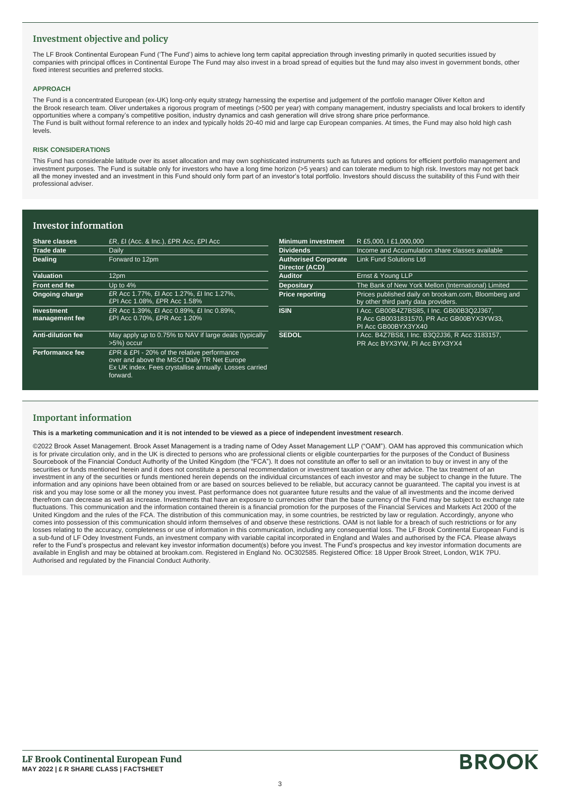# **Investment objective and policy**

The LF Brook Continental European Fund ('The Fund') aims to achieve long term capital appreciation through investing primarily in quoted securities issued by companies with principal offices in Continental Europe The Fund may also invest in a broad spread of equities but the fund may also invest in government bonds, other fixed interest securities and preferred stocks.

### **APPROACH**

The Fund is a concentrated European (ex-UK) long-only equity strategy harnessing the expertise and judgement of the portfolio manager Oliver Kelton and the Brook research team. Oliver undertakes a rigorous program of meetings (>500 per year) with company management, industry specialists and local brokers to identify opportunities where a company's competitive position, industry dynamics and cash generation will drive strong share price performance. The Fund is built without formal reference to an index and typically holds 20-40 mid and large cap European companies. At times, the Fund may also hold high cash levels.

### **RISK CONSIDERATIONS**

This Fund has considerable latitude over its asset allocation and may own sophisticated instruments such as futures and options for efficient portfolio management and investment purposes. The Fund is suitable only for investors who have a long time horizon (>5 years) and can tolerate medium to high risk. Investors may not get back all the money invested and an investment in this Fund should only form part of an investor's total portfolio. Investors should discuss the suitability of this Fund with their professional adviser.

# **Investor information**

| Share classes                       | £R, £I (Acc. & Inc.), £PR Acc, £PI Acc                                                                                                                           | <b>Minimum investment</b>                     | R £5,000, I £1,000,000                                                                                       |
|-------------------------------------|------------------------------------------------------------------------------------------------------------------------------------------------------------------|-----------------------------------------------|--------------------------------------------------------------------------------------------------------------|
| <b>Trade date</b>                   | Daily                                                                                                                                                            | <b>Dividends</b>                              | Income and Accumulation share classes available                                                              |
| <b>Dealing</b>                      | Forward to 12pm                                                                                                                                                  | <b>Authorised Corporate</b><br>Director (ACD) | <b>Link Fund Solutions Ltd</b>                                                                               |
| Valuation                           | 12pm                                                                                                                                                             | <b>Auditor</b>                                | Ernst & Young LLP                                                                                            |
| Front end fee                       | Up to $4\%$                                                                                                                                                      | Depositary                                    | The Bank of New York Mellon (International) Limited                                                          |
| Ongoing charge                      | ER Acc 1.77%, £I Acc 1.27%, £I Inc 1.27%,<br>£PI Acc 1.08%, £PR Acc 1.58%                                                                                        | <b>Price reporting</b>                        | Prices published daily on brookam.com, Bloomberg and<br>by other third party data providers.                 |
| <b>Investment</b><br>management fee | £R Acc 1.39%. £I Acc 0.89%. £I Inc 0.89%.<br>£PI Acc 0.70%, £PR Acc 1.20%                                                                                        | <b>ISIN</b>                                   | I Acc. GB00B4Z7BS85, I Inc. GB00B3Q2J367,<br>R Acc GB0031831570, PR Acc GB00BYX3YW33,<br>PI Acc GB00BYX3YX40 |
| <b>Anti-dilution fee</b>            | May apply up to 0.75% to NAV if large deals (typically<br>>5%) occur                                                                                             | <b>SEDOL</b>                                  | I Acc. B4Z7BS8, I Inc. B3Q2J36, R Acc 3183157,<br>PR Acc BYX3YW, PI Acc BYX3YX4                              |
| Performance fee                     | £PR & £PI - 20% of the relative performance<br>over and above the MSCI Daily TR Net Europe<br>Ex UK index. Fees crystallise annually. Losses carried<br>forward. |                                               |                                                                                                              |

# **Important information**

**This is a marketing communication and it is not intended to be viewed as a piece of independent investment research**.

©2022 Brook Asset Management. Brook Asset Management is a trading name of Odey Asset Management LLP ("OAM"). OAM has approved this communication which is for private circulation only, and in the UK is directed to persons who are professional clients or eligible counterparties for the purposes of the Conduct of Business Sourcebook of the Financial Conduct Authority of the United Kingdom (the "FCA"). It does not constitute an offer to sell or an invitation to buy or invest in any of the securities or funds mentioned herein and it does not constitute a personal recommendation or investment taxation or any other advice. The tax treatment of an investment in any of the securities or funds mentioned herein depends on the individual circumstances of each investor and may be subject to change in the future. The information and any opinions have been obtained from or are based on sources believed to be reliable, but accuracy cannot be guaranteed. The capital you invest is at risk and you may lose some or all the money you invest. Past performance does not guarantee future results and the value of all investments and the income derived therefrom can decrease as well as increase. Investments that have an exposure to currencies other than the base currency of the Fund may be subject to exchange rate fluctuations. This communication and the information contained therein is a financial promotion for the purposes of the Financial Services and Markets Act 2000 of the United Kingdom and the rules of the FCA. The distribution of this communication may, in some countries, be restricted by law or regulation. Accordingly, anyone who comes into possession of this communication should inform themselves of and observe these restrictions. OAM is not liable for a breach of such restrictions or for any losses relating to the accuracy, completeness or use of information in this communication, including any consequential loss. The LF Brook Continental European Fund is a sub-fund of LF Odey Investment Funds, an investment company with variable capital incorporated in England and Wales and authorised by the FCA. Please always refer to the Fund's prospectus and relevant key investor information document(s) before you invest. The Fund's prospectus and key investor information documents are available in English and may be obtained at brookam.com. Registered in England No. OC302585. Registered Office: 18 Upper Brook Street, London, W1K 7PU. Authorised and regulated by the Financial Conduct Authority.